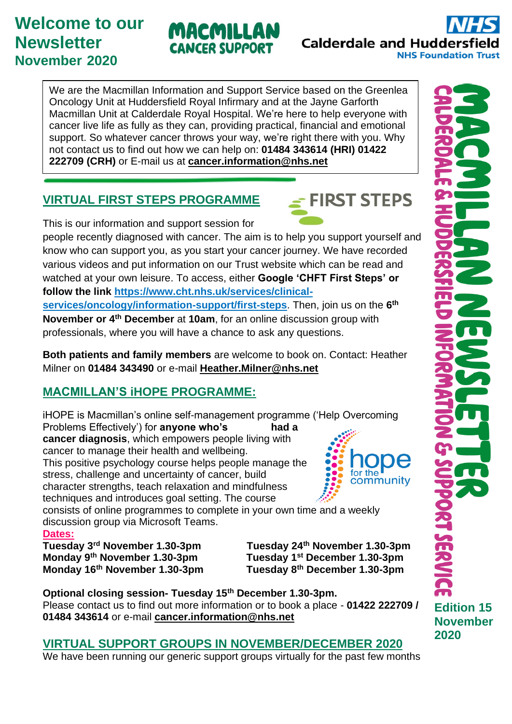# **Welcome to our Newsletter November 2020**

We are the Macmillan Information and Support Service based on the Greenlea Oncology Unit at Huddersfield Royal Infirmary and at the Jayne Garforth Macmillan Unit at Calderdale Royal Hospital. We're here to help everyone with cancer live life as fully as they can, providing practical, financial and emotional support. So whatever cancer throws your way, we're right there with you. Why not contact us to find out how we can help on: **01484 343614 (HRI) 01422 222709 (CRH)** or E-mail us at **[cancer.information@nhs.net](mailto:cancer.information@nhs.net)**

MACMILLAN

**CANCER SUPPORT** 

## **VIRTUAL FIRST STEPS PROGRAMME**

This is our information and support session for people recently diagnosed with cancer. The aim is to help you support yourself and know who can support you, as you start your cancer journey. We have recorded various videos and put information on our Trust website which can be read and watched at your own leisure. To access, either **Google 'CHFT First Steps' or follow the link [https://www.cht.nhs.uk/services/clinical](https://www.cht.nhs.uk/services/clinical-services/oncology/information-support/first-steps)[services/oncology/information-support/first-steps](https://www.cht.nhs.uk/services/clinical-services/oncology/information-support/first-steps)**. Then, join us on the **6 th November or 4th December** at **10am**, for an online discussion group with professionals, where you will have a chance to ask any questions.

**Both patients and family members** are welcome to book on. Contact: Heather Milner on **01484 343490** or e-mail **[Heather.Milner@nhs.net](mailto:Heather.Milner@nhs.net)**

## **MACMILLAN'S iHOPE PROGRAMME:**

iHOPE is Macmillan's online self-management programme ('Help Overcoming Problems Effectively') for **anyone who's** had a **cancer diagnosis**, which empowers people living with cancer to manage their health and wellbeing. This positive psychology course helps people manage the stress, challenge and uncertainty of cancer, build community character strengths, teach relaxation and mindfulness techniques and introduces goal setting. The course

consists of online programmes to complete in your own time and a weekly discussion group via Microsoft Teams.

#### **Dates:**

**Monday 9th November 1.30-3pm Tuesday 1st December 1.30-3pm Monday 16<sup>th</sup> November 1.30-3pm** 

**Tuesday 3rd November 1.30-3pm Tuesday 24th November 1.30-3pm**

**Optional closing session- Tuesday 15th December 1.30-3pm.**  Please contact us to find out more information or to book a place - **01422 222709 / 01484 343614** or e-mail **[cancer.information@nhs.net](mailto:cancer.information@nhs.net)**

#### **VIRTUAL SUPPORT GROUPS IN NOVEMBER/DECEMBER 2020**

We have been running our generic support groups virtually for the past few months

**2020**



**Calderdale and Huddersfield** 

**NHS Foundation Trust**